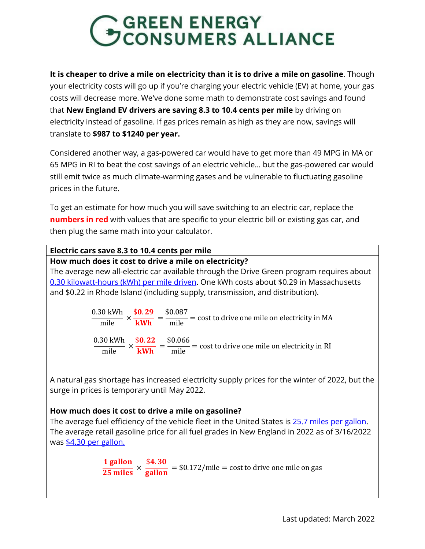### GGREEN ENERGY<br>GCONSUMERS ALLIANCE

**It is cheaper to drive a mile on electricity than it is to drive a mile on gasoline**. Though your electricity costs will go up if you're charging your electric vehicle (EV) at home, your gas costs will decrease more. We've done some math to demonstrate cost savings and found that **New England EV drivers are saving 8.3 to 10.4 cents per mile** by driving on electricity instead of gasoline. If gas prices remain as high as they are now, savings will translate to **\$987 to \$1240 per year.**

Considered another way, a gas-powered car would have to get more than 49 MPG in MA or 65 MPG in RI to beat the cost savings of an electric vehicle… but the gas-powered car would still emit twice as much climate-warming gases and be vulnerable to fluctuating gasoline prices in the future.

To get an estimate for how much you will save switching to an electric car, replace the **numbers in red** with values that are specific to your electric bill or existing gas car, and then plug the same math into your calculator.

| Electric cars save 8.3 to 10.4 cents per mile                                                                                                                         |
|-----------------------------------------------------------------------------------------------------------------------------------------------------------------------|
| How much does it cost to drive a mile on electricity?                                                                                                                 |
| The average new all-electric car available through the Drive Green program requires about                                                                             |
| 0.30 kilowatt-hours (kWh) per mile driven. One kWh costs about \$0.29 in Massachusetts                                                                                |
| and \$0.22 in Rhode Island (including supply, transmission, and distribution).                                                                                        |
| $0.30 \text{ kWh}$ \$0.29 \$0.087<br>$\frac{1}{\text{mile}} \times \frac{1}{\text{kWh}} = \frac{1}{\text{mile}} = \text{cost to drive one mile on electricity in MA}$ |
|                                                                                                                                                                       |
| $\frac{0.30 \text{ kWh}}{\text{mile}} \times \frac{$0.22}{\text{KWh}} = \frac{$0.066}{\text{mile}} = \text{cost to drive one mile on electricity in RI}$              |
|                                                                                                                                                                       |
| A natural gas shortage has increased electricity supply prices for the winter of 2022, but the<br>surge in prices is temporary until May 2022.                        |

#### **How much does it cost to drive a mile on gasoline?**

The average fuel efficiency of the vehicle fleet in the United States is 25.7 [miles per gallon.](https://www.reuters.com/article/us-usa-autos-emissions/u-s-vehicle-fleet-fuel-efficiency-fell-in-2019-to-24-9-mpg-epa-idUSKBN29B1YQ) The average retail gasoline price for all fuel grades in New England in 2022 as of 3/16/2022 was \$4.30 [per gallon.](https://www.eia.gov/petroleum/gasdiesel/)

> 1 gallon  $\frac{25 \text{ miles}}{25 \text{ miles}}$  ×  $$4.30$  $\frac{2000}{100}$  = \$0.172/mile = cost to drive one mile on gas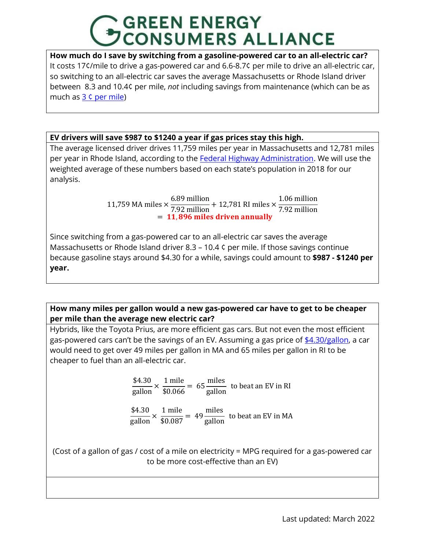# **GREEN ENERGY<br>CONSUMERS ALLIANCE**

**How much do I save by switching from a gasoline-powered car to an all-electric car?** It costs 17¢/mile to drive a gas-powered car and 6.6-8.7¢ per mile to drive an all-electric car, so switching to an all-electric car saves the average Massachusetts or Rhode Island driver between 8.3 and 10.4¢ per mile, *not* including savings from maintenance (which can be as much as 3 ¢ [per mile\)](https://newsroom.aaa.com/auto/your-driving-costs/)

**EV drivers will save \$987 to \$1240 a year if gas prices stay this high.** 

The average licensed driver drives 11,759 miles per year in Massachusetts and 12,781 miles per year in Rhode Island, according to the [Federal Highway Administration.](https://www.fhwa.dot.gov/ohim/onh00/onh2p11.htm) We will use the weighted average of these numbers based on each state's population in 2018 for our analysis.

> 11,759 MA miles × 6.89 million  $\frac{212}{7.92}$  million + 12,781 RI miles  $\times$ 1.06 million 7.92 million = 11,896 miles driven annually

Since switching from a gas-powered car to an all-electric car saves the average Massachusetts or Rhode Island driver 8.3 – 10.4 ¢ per mile. If those savings continue because gasoline stays around \$4.30 for a while, savings could amount to **\$987 - \$1240 per year.**

**How many miles per gallon would a new gas-powered car have to get to be cheaper per mile than the average new electric car?**

Hybrids, like the Toyota Prius, are more efficient gas cars. But not even the most efficient gas-powered cars can't be the savings of an EV. Assuming a gas price of [\\$4.30/gallon,](https://www.eia.gov/petroleum/gasdiesel/) a car would need to get over 49 miles per gallon in MA and 65 miles per gallon in RI to be cheaper to fuel than an all-electric car.

> \$4.30  $\frac{1}{\text{gallon}} \times$ 1 mile  $\frac{34}{100} = 65$ miles **FILLER** to beat an EV in RI<br>gallon

\$4.30  $\frac{1}{\text{gallon}} \times$ 1 mile  $\frac{34}{10000} = 49$ miles  $\frac{1}{\sqrt{2}}$  to beat an EV in MA

(Cost of a gallon of gas / cost of a mile on electricity = MPG required for a gas-powered car to be more cost-effective than an EV)